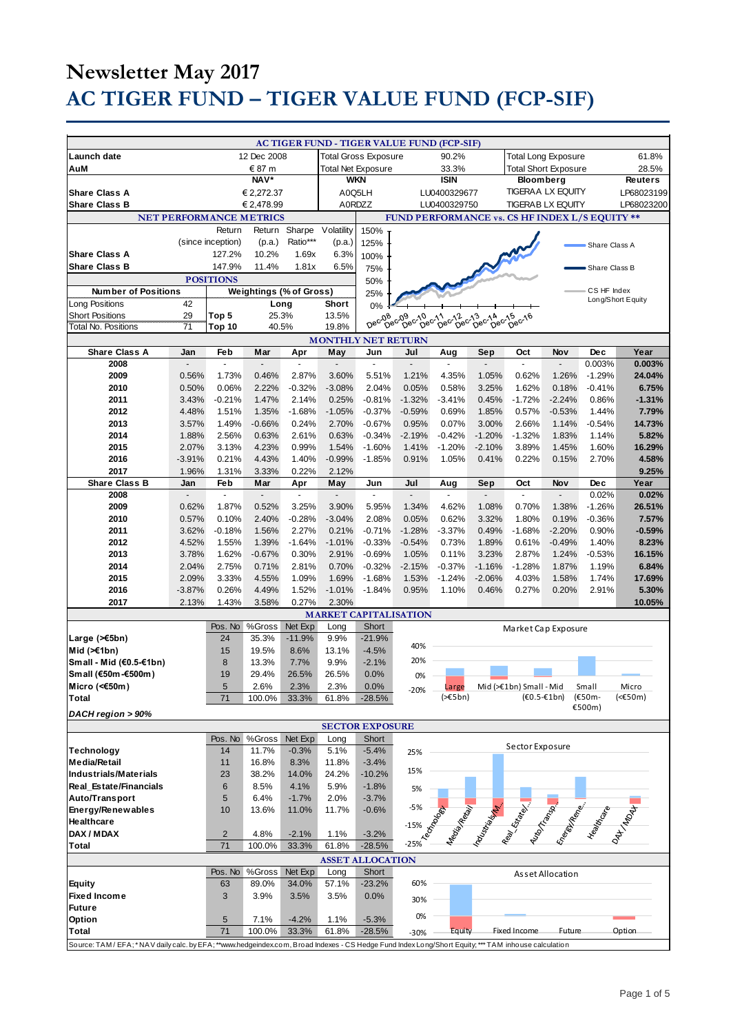| Launch date<br>AuM                                                                                                                              |                 |                          | 12 Dec 2008                    |                        |                                  | <b>Total Gross Exposure</b> | AC TIGER FUND - TIGER VALUE FUND (FCP-SIF)                  | 90.2%                    |          | <b>Total Long Exposure</b>             |                  |                                  | 61.8%                 |
|-------------------------------------------------------------------------------------------------------------------------------------------------|-----------------|--------------------------|--------------------------------|------------------------|----------------------------------|-----------------------------|-------------------------------------------------------------|--------------------------|----------|----------------------------------------|------------------|----------------------------------|-----------------------|
|                                                                                                                                                 |                 |                          |                                |                        |                                  |                             |                                                             |                          |          |                                        |                  |                                  |                       |
|                                                                                                                                                 |                 | € 87 m                   |                                |                        | <b>Total Net Exposure</b>        |                             |                                                             | 33.3%                    |          | <b>Total Short Exposure</b>            |                  |                                  | 28.5%                 |
|                                                                                                                                                 | <b>NAV*</b>     |                          |                                |                        | <b>WKN</b>                       |                             | <b>ISIN</b>                                                 |                          |          | <b>Bloomberg</b>                       |                  |                                  | <b>Reuters</b>        |
| <b>Share Class A</b>                                                                                                                            | € 2,272.37      |                          |                                | A0Q5LH<br>LU0400329677 |                                  |                             |                                                             | <b>TIGERAA LX EQUITY</b> |          |                                        | LP68023199       |                                  |                       |
| <b>Share Class B</b>                                                                                                                            |                 |                          | € 2,478.99                     |                        | A0RDZZ                           |                             |                                                             | LU0400329750             |          | <b>TIGERAB LX EQUITY</b>               |                  |                                  | LP68023200            |
| NET PERFORMANCE METRICS                                                                                                                         |                 |                          |                                |                        |                                  |                             | FUND PERFORMANCE vs. CS HF INDEX L/S EQUITY **              |                          |          |                                        |                  |                                  |                       |
|                                                                                                                                                 |                 | Return                   | Return                         | Sharpe                 | Volatility                       | 150%                        |                                                             |                          |          |                                        |                  |                                  |                       |
|                                                                                                                                                 |                 | (since inception)        | (p.a.)                         | Ratio***               | (p.a.)                           | 125%                        |                                                             |                          |          |                                        |                  | Share Class A                    |                       |
| <b>Share Class A</b>                                                                                                                            |                 | 127.2%                   | 10.2%                          | 1.69x                  | 6.3%                             | 100%                        |                                                             |                          |          |                                        |                  |                                  |                       |
| <b>Share Class B</b>                                                                                                                            |                 | 147.9%                   | 11.4%                          | 1.81x                  | 6.5%                             | 75%                         |                                                             |                          |          |                                        |                  | Share Class B                    |                       |
|                                                                                                                                                 |                 | <b>POSITIONS</b>         |                                |                        |                                  | 50%                         |                                                             |                          |          |                                        |                  |                                  |                       |
| <b>Number of Positions</b>                                                                                                                      |                 |                          | <b>Weightings (% of Gross)</b> |                        |                                  | 25%                         |                                                             |                          |          |                                        |                  | CS HF Index<br>Long/Short Equity |                       |
| Long Positions                                                                                                                                  | 42              |                          | Long                           |                        | <b>Short</b>                     | 0%                          |                                                             |                          |          |                                        |                  |                                  |                       |
| <b>Short Positions</b>                                                                                                                          | 29              | Top 5                    | 25.3%                          |                        | 13.5%                            | Dec-08                      | 08 09 09 10 11 0012 013 02 14<br>Dec Dec Dec Dec Dec Dec De |                          | Dec      | Dec-16                                 |                  |                                  |                       |
| Total No. Positions                                                                                                                             | $\overline{71}$ | Top 10                   | 40.5%                          |                        | 19.8%                            |                             |                                                             |                          |          |                                        |                  |                                  |                       |
| Share Class A                                                                                                                                   | Jan             | Feb                      | Mar                            | Apr                    | <b>MONTHLY NET RETURN</b><br>May | Jun                         | Jul                                                         | Aug                      | Sep      | Oct                                    | Nov              | <b>Dec</b>                       | Year                  |
| 2008                                                                                                                                            |                 | $\overline{\phantom{a}}$ |                                | ÷,                     | $\overline{a}$                   | $\overline{a}$              | $\overline{a}$                                              | $\overline{a}$           |          | $\overline{a}$                         | $\overline{a}$   | 0.003%                           | 0.003%                |
| 2009                                                                                                                                            | 0.56%           | 1.73%                    | 0.46%                          | 2.87%                  | 3.60%                            | 5.51%                       | 1.21%                                                       | 4.35%                    | 1.05%    | 0.62%                                  | 1.26%            | $-1.29%$                         | 24.04%                |
| 2010                                                                                                                                            | 0.50%           | 0.06%                    | 2.22%                          | $-0.32%$               | $-3.08%$                         | 2.04%                       | 0.05%                                                       | 0.58%                    | 3.25%    | 1.62%                                  | 0.18%            | $-0.41%$                         | 6.75%                 |
| 2011                                                                                                                                            | 3.43%           | $-0.21%$                 | 1.47%                          | 2.14%                  | 0.25%                            | $-0.81%$                    | $-1.32%$                                                    | $-3.41%$                 | 0.45%    | $-1.72%$                               | $-2.24%$         | 0.86%                            | $-1.31%$              |
| 2012                                                                                                                                            | 4.48%           | 1.51%                    | 1.35%                          | $-1.68%$               | $-1.05%$                         | $-0.37%$                    | $-0.59%$                                                    | 0.69%                    | 1.85%    | 0.57%                                  | $-0.53%$         | 1.44%                            | 7.79%                 |
| 2013                                                                                                                                            | 3.57%           | 1.49%                    | $-0.66%$                       | 0.24%                  | 2.70%                            | $-0.67%$                    | 0.95%                                                       | 0.07%                    | 3.00%    | 2.66%                                  | 1.14%            | $-0.54%$                         | 14.73%                |
| 2014                                                                                                                                            | 1.88%           | 2.56%                    | 0.63%                          | 2.61%                  | 0.63%                            | $-0.34%$                    | $-2.19%$                                                    | $-0.42%$                 | $-1.20%$ | $-1.32%$                               | 1.83%            | 1.14%                            | 5.82%                 |
| 2015                                                                                                                                            | 2.07%           | 3.13%                    | 4.23%                          | 0.99%                  | 1.54%                            | $-1.60%$                    | 1.41%                                                       | $-1.20%$                 | $-2.10%$ | 3.89%                                  | 1.45%            | 1.60%                            | 16.29%                |
| 2016                                                                                                                                            | $-3.91%$        | 0.21%                    | 4.43%                          | 1.40%                  | $-0.99%$                         | $-1.85%$                    | 0.91%                                                       | 1.05%                    | 0.41%    | 0.22%                                  | 0.15%            | 2.70%                            | 4.58%                 |
| 2017                                                                                                                                            | 1.96%           | 1.31%                    | 3.33%                          | 0.22%                  | 2.12%                            |                             |                                                             |                          |          |                                        |                  |                                  | 9.25%                 |
| <b>Share Class B</b><br>2008                                                                                                                    | Jan             | Feb                      | Mar                            | Apr                    | May<br>$\overline{a}$            | Jun                         | Jul                                                         | Aug                      | Sep      | Oct<br>÷,                              | Nov              | Dec<br>0.02%                     | Year<br>0.02%         |
| 2009                                                                                                                                            | 0.62%           | 1.87%                    | 0.52%                          | 3.25%                  | 3.90%                            | 5.95%                       | 1.34%                                                       | 4.62%                    | 1.08%    | 0.70%                                  | 1.38%            | $-1.26%$                         | 26.51%                |
| 2010                                                                                                                                            | 0.57%           | 0.10%                    | 2.40%                          | $-0.28%$               | $-3.04%$                         | 2.08%                       | 0.05%                                                       | 0.62%                    | 3.32%    | 1.80%                                  | 0.19%            | $-0.36%$                         | 7.57%                 |
| 2011                                                                                                                                            | 3.62%           | $-0.18%$                 | 1.56%                          | 2.27%                  | 0.21%                            | $-0.71%$                    | $-1.28%$                                                    | $-3.37%$                 | 0.49%    | $-1.68%$                               | $-2.20%$         | 0.90%                            | $-0.59%$              |
| 2012                                                                                                                                            | 4.52%           | 1.55%                    | 1.39%                          | $-1.64%$               | $-1.01%$                         | $-0.33%$                    | $-0.54%$                                                    | 0.73%                    | 1.89%    | 0.61%                                  | $-0.49%$         | 1.40%                            | 8.23%                 |
| 2013                                                                                                                                            | 3.78%           | 1.62%                    | $-0.67%$                       | 0.30%                  | 2.91%                            | $-0.69%$                    | 1.05%                                                       | 0.11%                    | 3.23%    | 2.87%                                  | 1.24%            | $-0.53%$                         | 16.15%                |
| 2014                                                                                                                                            | 2.04%           | 2.75%                    | 0.71%                          | 2.81%                  | 0.70%                            | $-0.32%$                    | $-2.15%$                                                    | $-0.37%$                 | $-1.16%$ | $-1.28%$                               | 1.87%            | 1.19%                            | 6.84%                 |
| 2015                                                                                                                                            | 2.09%           | 3.33%                    | 4.55%                          | 1.09%                  | 1.69%                            | $-1.68%$                    | 1.53%                                                       | $-1.24%$                 | $-2.06%$ | 4.03%                                  | 1.58%            | 1.74%                            | 17.69%                |
| 2016                                                                                                                                            | $-3.87%$        | 0.26%                    | 4.49%                          | 1.52%                  | $-1.01%$                         | $-1.84%$                    | 0.95%                                                       | 1.10%                    | 0.46%    | 0.27%                                  | 0.20%            | 2.91%                            | 5.30%                 |
| 2017                                                                                                                                            | 2.13%           | 1.43%                    | 3.58%                          | 0.27%                  | 2.30%                            |                             |                                                             |                          |          |                                        |                  |                                  | 10.05%                |
|                                                                                                                                                 |                 |                          |                                |                        |                                  |                             | <b>MARKET CAPITALISATION</b>                                |                          |          |                                        |                  |                                  |                       |
| Large (>€5bn)                                                                                                                                   |                 | Pos. No<br>24            | %Gross<br>35.3%                | Net Exp<br>$-11.9%$    | Long<br>9.9%                     | Short<br>$-21.9%$           |                                                             |                          |          | Market Cap Exposure                    |                  |                                  |                       |
| Mid $(\geq 1$ bn)                                                                                                                               |                 | 15                       | 19.5%                          | 8.6%                   | 13.1%                            | $-4.5%$                     | 40%                                                         |                          |          |                                        |                  |                                  |                       |
| Small - Mid (€0.5-€1bn)                                                                                                                         |                 | 8                        | 13.3%                          | 7.7%                   | 9.9%                             | $-2.1%$                     | 20%                                                         |                          |          |                                        |                  |                                  |                       |
| Small (€50m-€500m)                                                                                                                              |                 | 19                       | 29.4%                          | 26.5%                  | 26.5%                            | 0.0%                        | 0%                                                          |                          |          |                                        |                  |                                  |                       |
| Micro (<€50m)                                                                                                                                   |                 | 5                        | 2.6%                           | 2.3%                   | 2.3%                             | 0.0%                        | $-20%$                                                      | Large                    |          | Mid (>€1bn) Small - Mid                |                  | Small                            | Micro                 |
| Total                                                                                                                                           |                 | 71                       | 100.0%                         | 33.3%                  | 61.8%                            | $-28.5%$                    |                                                             | $(\geq 5$ bn)            |          | $(60.5 - 61$ bn)                       |                  | (€50m-                           | $(\leq \epsilon$ 50m) |
| DACH region > 90%                                                                                                                               |                 |                          |                                |                        |                                  |                             |                                                             |                          |          |                                        |                  | €500m)                           |                       |
| <b>SECTOR EXPOSURE</b>                                                                                                                          |                 |                          |                                |                        |                                  |                             |                                                             |                          |          |                                        |                  |                                  |                       |
|                                                                                                                                                 |                 | Pos. No                  | %Gross                         | Net Exp                | Long                             | Short                       |                                                             |                          |          |                                        |                  |                                  |                       |
| Technology                                                                                                                                      |                 | 14                       | 11.7%                          | $-0.3%$                | 5.1%                             | $-5.4%$                     | 25%                                                         |                          |          | Sector Exposure                        |                  |                                  |                       |
| <b>Media/Retail</b>                                                                                                                             |                 | 11                       | 16.8%                          | 8.3%                   | 11.8%                            | $-3.4%$                     |                                                             |                          |          |                                        |                  |                                  |                       |
| Industrials/Materials                                                                                                                           |                 | 23                       | 38.2%                          | 14.0%                  | 24.2%                            | $-10.2%$                    | 15%                                                         |                          |          |                                        |                  |                                  |                       |
| <b>Real Estate/Financials</b>                                                                                                                   |                 | $6\phantom{1}6$          | 8.5%                           | 4.1%                   | 5.9%                             | $-1.8%$                     | 5%                                                          |                          |          |                                        |                  |                                  |                       |
| Auto/Transport                                                                                                                                  |                 | 5                        | 6.4%                           | $-1.7%$                | 2.0%                             | $-3.7%$                     | $-5%$                                                       |                          |          |                                        |                  |                                  |                       |
| Energy/Renewables<br>Healthcare                                                                                                                 |                 | 10                       | 13.6%                          | 11.0%                  | 11.7%                            | $-0.6%$                     |                                                             |                          |          |                                        |                  |                                  |                       |
| DAX / MDAX                                                                                                                                      |                 | $\overline{2}$           | 4.8%                           | $-2.1%$                | 1.1%                             | $-3.2%$                     | Technology<br>$-15%$                                        |                          |          | Messingle Real Property of Manufacture |                  |                                  |                       |
| <b>Total</b>                                                                                                                                    |                 | 71                       | 100.0%                         | 33.3%                  | 61.8%                            | $-28.5%$                    | $-25%$                                                      |                          |          |                                        |                  |                                  |                       |
|                                                                                                                                                 |                 |                          |                                |                        |                                  | <b>ASSET ALLOCATION</b>     |                                                             |                          |          |                                        |                  |                                  |                       |
|                                                                                                                                                 |                 | Pos. No                  | %Gross                         | Net Exp                | Long                             | Short                       |                                                             |                          |          |                                        |                  |                                  |                       |
| Equity                                                                                                                                          |                 | 63                       | 89.0%                          | 34.0%                  | 57.1%                            | $-23.2%$                    | 60%                                                         |                          |          |                                        | Asset Allocation |                                  |                       |
| <b>Fixed Income</b>                                                                                                                             |                 | 3                        | 3.9%                           | 3.5%                   | 3.5%                             | 0.0%                        | 30%                                                         |                          |          |                                        |                  |                                  |                       |
| <b>Future</b>                                                                                                                                   |                 |                          |                                |                        |                                  |                             |                                                             |                          |          |                                        |                  |                                  |                       |
| Option                                                                                                                                          |                 | 5                        | 7.1%                           | $-4.2%$                | 1.1%                             | $-5.3%$                     | 0%                                                          |                          |          |                                        |                  |                                  |                       |
| <b>Total</b>                                                                                                                                    |                 | 71                       | 100.0%                         | 33.3%                  | 61.8%                            | $-28.5%$                    | $-30%$                                                      | Equity                   |          | Fixed Income                           | <b>Future</b>    |                                  | Option                |
| Source: TAM/EFA;*NAV daily calc. by EFA;**www.hedgeindex.com, Broad Indexes - CS Hedge Fund Index Long/Short Equity;*** TAM inhouse calculation |                 |                          |                                |                        |                                  |                             |                                                             |                          |          |                                        |                  |                                  |                       |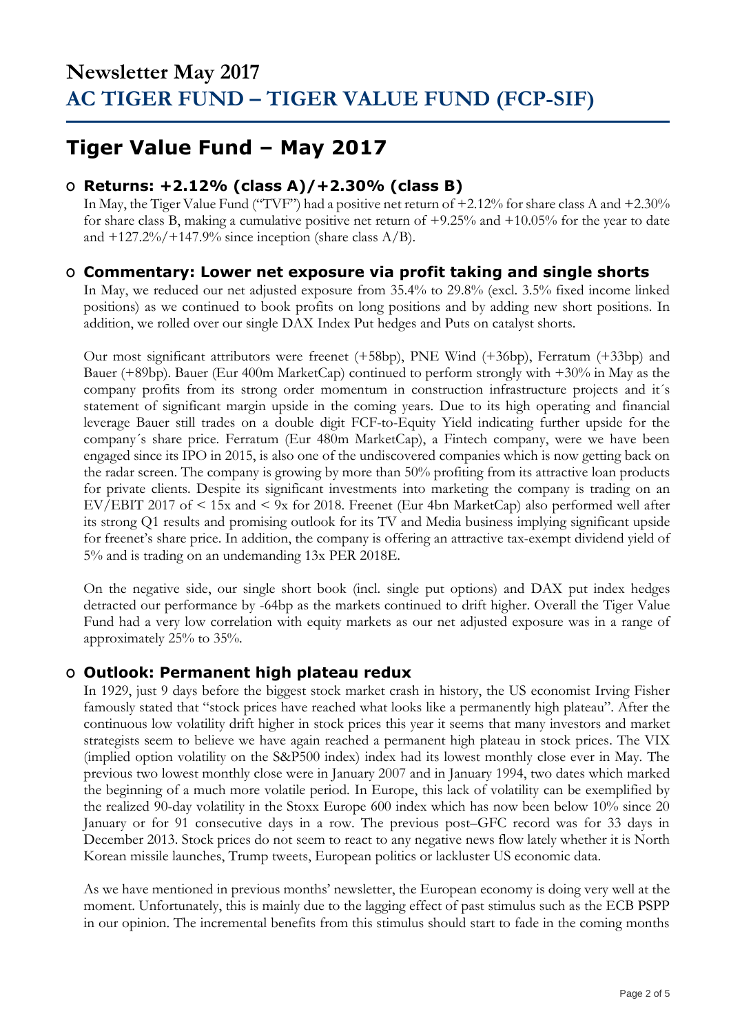## **Tiger Value Fund – May 2017**

### **O Returns: +2.12% (class A)/+2.30% (class B)**

In May, the Tiger Value Fund ("TVF") had a positive net return of +2.12% for share class A and +2.30% for share class B, making a cumulative positive net return of +9.25% and +10.05% for the year to date and  $+127.2\%/+147.9\%$  since inception (share class A/B).

### **O Commentary: Lower net exposure via profit taking and single shorts**

In May, we reduced our net adjusted exposure from 35.4% to 29.8% (excl. 3.5% fixed income linked positions) as we continued to book profits on long positions and by adding new short positions. In addition, we rolled over our single DAX Index Put hedges and Puts on catalyst shorts.

Our most significant attributors were freenet (+58bp), PNE Wind (+36bp), Ferratum (+33bp) and Bauer (+89bp). Bauer (Eur 400m MarketCap) continued to perform strongly with +30% in May as the company profits from its strong order momentum in construction infrastructure projects and it´s statement of significant margin upside in the coming years. Due to its high operating and financial leverage Bauer still trades on a double digit FCF-to-Equity Yield indicating further upside for the company´s share price. Ferratum (Eur 480m MarketCap), a Fintech company, were we have been engaged since its IPO in 2015, is also one of the undiscovered companies which is now getting back on the radar screen. The company is growing by more than 50% profiting from its attractive loan products for private clients. Despite its significant investments into marketing the company is trading on an EV/EBIT 2017 of < 15x and < 9x for 2018. Freenet (Eur 4bn MarketCap) also performed well after its strong Q1 results and promising outlook for its TV and Media business implying significant upside for freenet's share price. In addition, the company is offering an attractive tax-exempt dividend yield of 5% and is trading on an undemanding 13x PER 2018E.

On the negative side, our single short book (incl. single put options) and DAX put index hedges detracted our performance by -64bp as the markets continued to drift higher. Overall the Tiger Value Fund had a very low correlation with equity markets as our net adjusted exposure was in a range of approximately 25% to 35%.

### **O Outlook: Permanent high plateau redux**

In 1929, just 9 days before the biggest stock market crash in history, the US economist Irving Fisher famously stated that "stock prices have reached what looks like a permanently high plateau". After the continuous low volatility drift higher in stock prices this year it seems that many investors and market strategists seem to believe we have again reached a permanent high plateau in stock prices. The VIX (implied option volatility on the S&P500 index) index had its lowest monthly close ever in May. The previous two lowest monthly close were in January 2007 and in January 1994, two dates which marked the beginning of a much more volatile period. In Europe, this lack of volatility can be exemplified by the realized 90-day volatility in the Stoxx Europe 600 index which has now been below 10% since 20 January or for 91 consecutive days in a row. The previous post–GFC record was for 33 days in December 2013. Stock prices do not seem to react to any negative news flow lately whether it is North Korean missile launches, Trump tweets, European politics or lackluster US economic data.

As we have mentioned in previous months' newsletter, the European economy is doing very well at the moment. Unfortunately, this is mainly due to the lagging effect of past stimulus such as the ECB PSPP in our opinion. The incremental benefits from this stimulus should start to fade in the coming months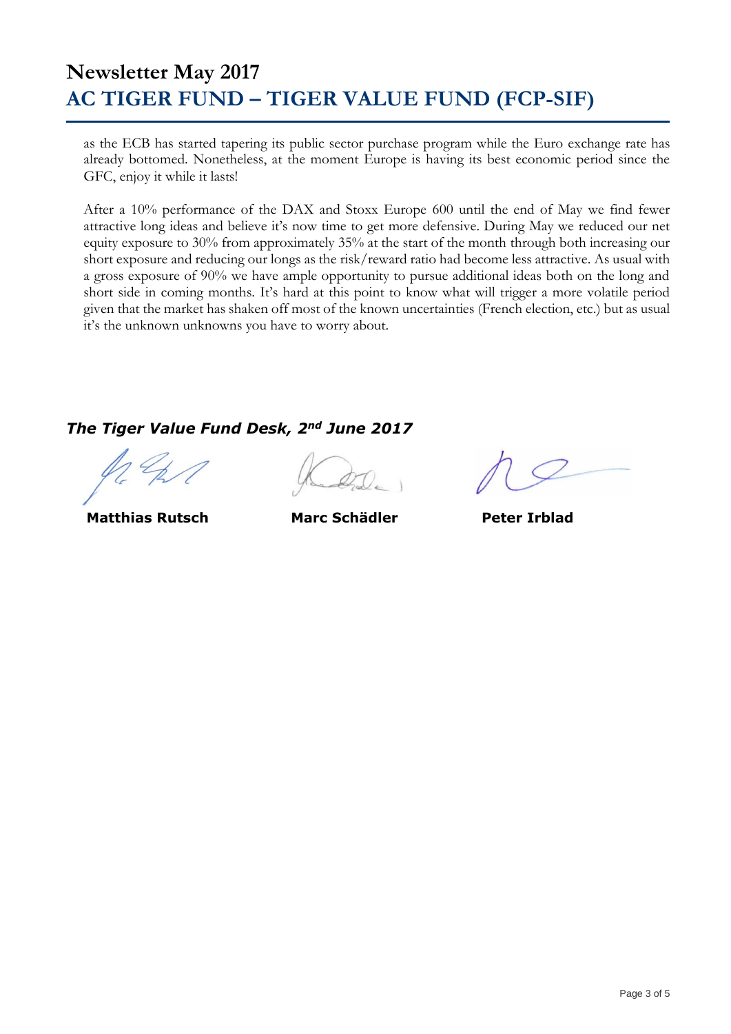as the ECB has started tapering its public sector purchase program while the Euro exchange rate has already bottomed. Nonetheless, at the moment Europe is having its best economic period since the GFC, enjoy it while it lasts!

After a 10% performance of the DAX and Stoxx Europe 600 until the end of May we find fewer attractive long ideas and believe it's now time to get more defensive. During May we reduced our net equity exposure to 30% from approximately 35% at the start of the month through both increasing our short exposure and reducing our longs as the risk/reward ratio had become less attractive. As usual with a gross exposure of 90% we have ample opportunity to pursue additional ideas both on the long and short side in coming months. It's hard at this point to know what will trigger a more volatile period given that the market has shaken off most of the known uncertainties (French election, etc.) but as usual it's the unknown unknowns you have to worry about.

### *The Tiger Value Fund Desk, 2nd June 2017*

 **Matthias Rutsch Marc Schädler Peter Irblad**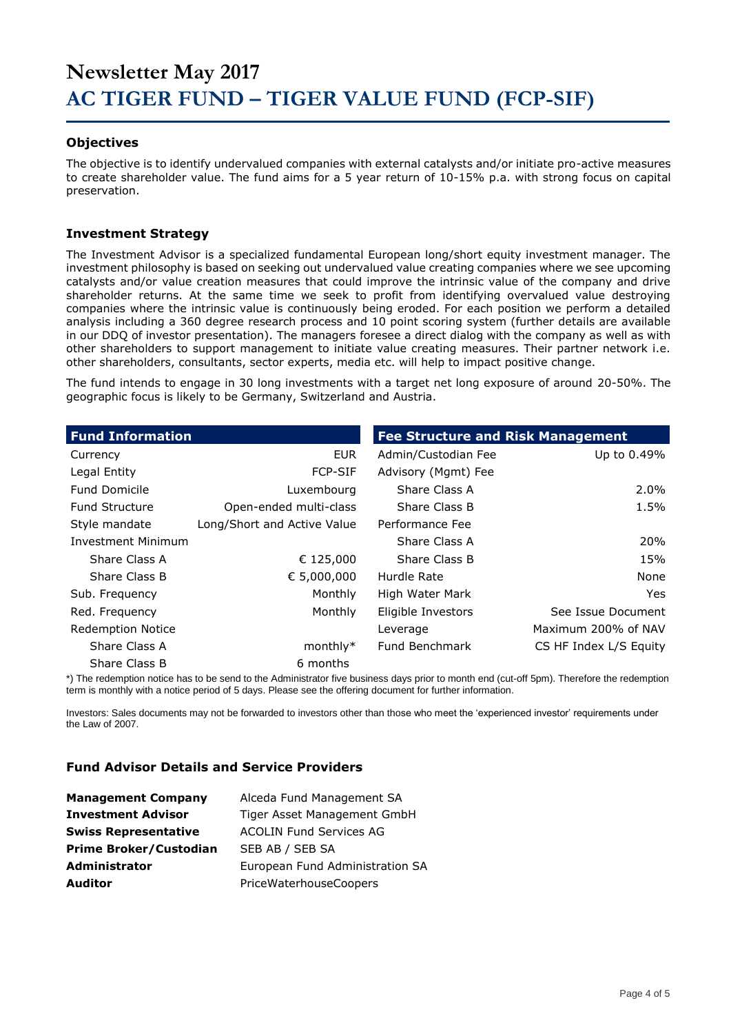#### **Objectives**

The objective is to identify undervalued companies with external catalysts and/or initiate pro-active measures to create shareholder value. The fund aims for a 5 year return of 10-15% p.a. with strong focus on capital preservation.

#### **Investment Strategy**

The Investment Advisor is a specialized fundamental European long/short equity investment manager. The investment philosophy is based on seeking out undervalued value creating companies where we see upcoming catalysts and/or value creation measures that could improve the intrinsic value of the company and drive shareholder returns. At the same time we seek to profit from identifying overvalued value destroying companies where the intrinsic value is continuously being eroded. For each position we perform a detailed analysis including a 360 degree research process and 10 point scoring system (further details are available in our DDQ of investor presentation). The managers foresee a direct dialog with the company as well as with other shareholders to support management to initiate value creating measures. Their partner network i.e. other shareholders, consultants, sector experts, media etc. will help to impact positive change.

The fund intends to engage in 30 long investments with a target net long exposure of around 20-50%. The geographic focus is likely to be Germany, Switzerland and Austria.

| <b>Fund Information</b>   |                             | <b>Fee Structure and Risk Management</b> |                        |
|---------------------------|-----------------------------|------------------------------------------|------------------------|
| Currency                  | <b>EUR</b>                  | Admin/Custodian Fee                      | Up to 0.49%            |
| Legal Entity              | <b>FCP-SIF</b>              | Advisory (Mgmt) Fee                      |                        |
| <b>Fund Domicile</b>      | Luxembourg                  | Share Class A                            | $2.0\%$                |
| <b>Fund Structure</b>     | Open-ended multi-class      | Share Class B                            | 1.5%                   |
| Style mandate             | Long/Short and Active Value | Performance Fee                          |                        |
| <b>Investment Minimum</b> |                             | Share Class A                            | <b>20%</b>             |
| Share Class A             | € 125,000                   | Share Class B                            | 15%                    |
| Share Class B             | € 5,000,000                 | Hurdle Rate                              | None                   |
| Sub. Frequency            | Monthly                     | High Water Mark                          | <b>Yes</b>             |
| Red. Frequency            | Monthly                     | Eligible Investors                       | See Issue Document     |
| <b>Redemption Notice</b>  |                             | Leverage                                 | Maximum 200% of NAV    |
| Share Class A             | monthly $*$                 | Fund Benchmark                           | CS HF Index L/S Equity |
| Share Class B             | 6 months                    |                                          |                        |

\*) The redemption notice has to be send to the Administrator five business days prior to month end (cut-off 5pm). Therefore the redemption term is monthly with a notice period of 5 days. Please see the offering document for further information.

Investors: Sales documents may not be forwarded to investors other than those who meet the 'experienced investor' requirements under the Law of 2007.

#### **Fund Advisor Details and Service Providers**

| <b>Management Company</b>     | Alceda Fund Management SA       |
|-------------------------------|---------------------------------|
| <b>Investment Advisor</b>     | Tiger Asset Management GmbH     |
| <b>Swiss Representative</b>   | <b>ACOLIN Fund Services AG</b>  |
| <b>Prime Broker/Custodian</b> | SEB AB / SEB SA                 |
| <b>Administrator</b>          | European Fund Administration SA |
| <b>Auditor</b>                | PriceWaterhouseCoopers          |